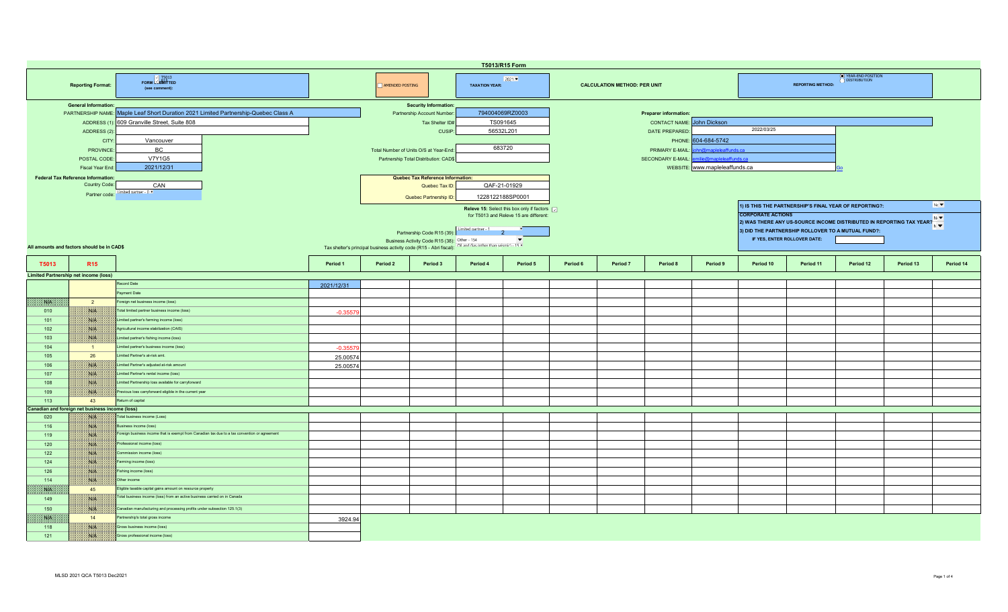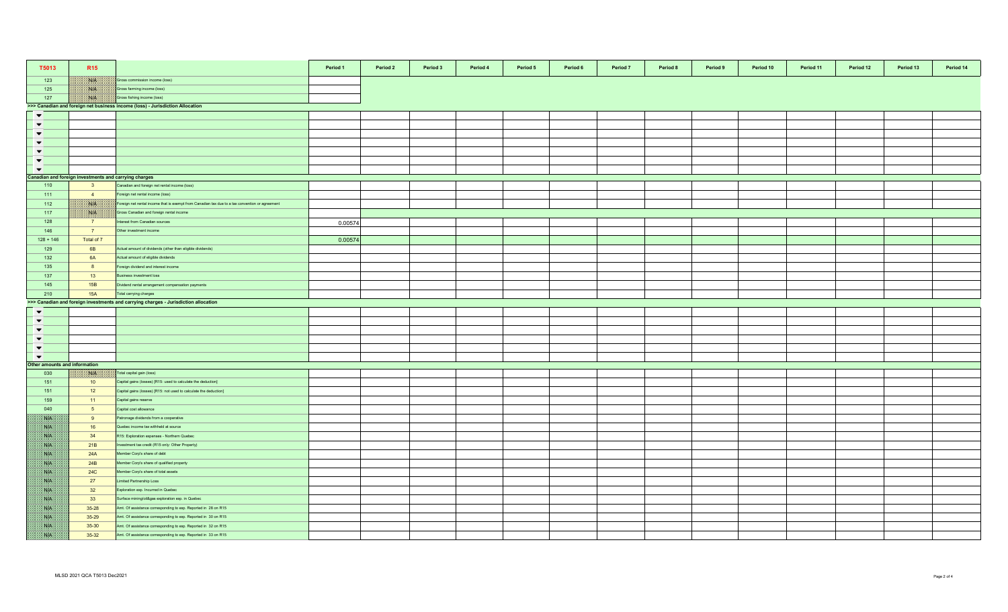| T5013                        | <b>R15</b>                                                                    |                                                                                                 | Period 1 | Period 2 | Period 3 | Period 4 | Period 5 | Period 6 | Period 7 | Period 8 | Period 9 | Period 10 | Period 11 | Period 12 | Period 13 | Period 14 |
|------------------------------|-------------------------------------------------------------------------------|-------------------------------------------------------------------------------------------------|----------|----------|----------|----------|----------|----------|----------|----------|----------|-----------|-----------|-----------|-----------|-----------|
| 123                          | <b>NGEN</b>                                                                   | Gross commission income (loss)                                                                  |          |          |          |          |          |          |          |          |          |           |           |           |           |           |
| 125                          | 1808.                                                                         | Gross farming income (loss)                                                                     |          |          |          |          |          |          |          |          |          |           |           |           |           |           |
| 127                          | NIA                                                                           | Gross fishing income (loss)                                                                     |          |          |          |          |          |          |          |          |          |           |           |           |           |           |
|                              | >>> Canadian and foreign net business income (loss) - Jurisdiction Allocation |                                                                                                 |          |          |          |          |          |          |          |          |          |           |           |           |           |           |
| $\blacktriangledown$         |                                                                               |                                                                                                 |          |          |          |          |          |          |          |          |          |           |           |           |           |           |
| $\blacktriangledown$         |                                                                               |                                                                                                 |          |          |          |          |          |          |          |          |          |           |           |           |           |           |
| $\blacktriangledown$         |                                                                               |                                                                                                 |          |          |          |          |          |          |          |          |          |           |           |           |           |           |
| $\blacktriangledown$         |                                                                               |                                                                                                 |          |          |          |          |          |          |          |          |          |           |           |           |           |           |
| $\blacktriangledown$         |                                                                               |                                                                                                 |          |          |          |          |          |          |          |          |          |           |           |           |           |           |
| $\blacktriangledown$         |                                                                               |                                                                                                 |          |          |          |          |          |          |          |          |          |           |           |           |           |           |
| $\blacktriangledown$         |                                                                               |                                                                                                 |          |          |          |          |          |          |          |          |          |           |           |           |           |           |
|                              | Canadian and foreign investments and carrying charges                         |                                                                                                 |          |          |          |          |          |          |          |          |          |           |           |           |           |           |
| 110                          | 3 <sup>2</sup>                                                                | Canadian and foreign net rental income (loss)                                                   |          |          |          |          |          |          |          |          |          |           |           |           |           |           |
| 111                          | $\overline{4}$                                                                | oreign net rental income (loss)                                                                 |          |          |          |          |          |          |          |          |          |           |           |           |           |           |
| 112                          | NB                                                                            | Foreign net rental income that is exempt from Canadian tax due to a tax convention or agreement |          |          |          |          |          |          |          |          |          |           |           |           |           |           |
| 117                          | ma.                                                                           | Gross Canadian and foreign rental income                                                        |          |          |          |          |          |          |          |          |          |           |           |           |           |           |
| 128                          | 7                                                                             | nterest from Canadian sources                                                                   |          |          |          |          |          |          |          |          |          |           |           |           |           |           |
|                              | 7 <sup>7</sup>                                                                |                                                                                                 | 0.00574  |          |          |          |          |          |          |          |          |           |           |           |           |           |
| 146                          |                                                                               | Other investment income                                                                         |          |          |          |          |          |          |          |          |          |           |           |           |           |           |
| $128 + 146$                  | Total of 7                                                                    |                                                                                                 | 0.00574  |          |          |          |          |          |          |          |          |           |           |           |           |           |
| 129                          | 6B                                                                            | Actual amount of dividends (other than eligible dividends)                                      |          |          |          |          |          |          |          |          |          |           |           |           |           |           |
| 132                          | 6A                                                                            | Actual amount of eligible dividends                                                             |          |          |          |          |          |          |          |          |          |           |           |           |           |           |
| 135                          | 8                                                                             | oreign dividend and interest income                                                             |          |          |          |          |          |          |          |          |          |           |           |           |           |           |
| 137                          | 13                                                                            | Business investment loss                                                                        |          |          |          |          |          |          |          |          |          |           |           |           |           |           |
| 145                          | 15B                                                                           | Dividend rental arrangement compensation payments                                               |          |          |          |          |          |          |          |          |          |           |           |           |           |           |
| 210                          | 15A                                                                           | Total carrying charges                                                                          |          |          |          |          |          |          |          |          |          |           |           |           |           |           |
|                              |                                                                               | >>> Canadian and foreign investments and carrying charges - Jurisdiction allocation             |          |          |          |          |          |          |          |          |          |           |           |           |           |           |
| $\blacktriangledown$         |                                                                               |                                                                                                 |          |          |          |          |          |          |          |          |          |           |           |           |           |           |
| $\blacktriangledown$         |                                                                               |                                                                                                 |          |          |          |          |          |          |          |          |          |           |           |           |           |           |
| $\blacktriangledown$         |                                                                               |                                                                                                 |          |          |          |          |          |          |          |          |          |           |           |           |           |           |
| $\blacktriangledown$         |                                                                               |                                                                                                 |          |          |          |          |          |          |          |          |          |           |           |           |           |           |
| $\blacktriangledown$         |                                                                               |                                                                                                 |          |          |          |          |          |          |          |          |          |           |           |           |           |           |
| $\blacktriangledown$         |                                                                               |                                                                                                 |          |          |          |          |          |          |          |          |          |           |           |           |           |           |
| ther amounts and information |                                                                               |                                                                                                 |          |          |          |          |          |          |          |          |          |           |           |           |           |           |
| 030                          | XVIX.                                                                         | Total capital gain (loss)                                                                       |          |          |          |          |          |          |          |          |          |           |           |           |           |           |
| 151                          | 10                                                                            | Capital gains (losses) [R15: used to calculate the deduction]                                   |          |          |          |          |          |          |          |          |          |           |           |           |           |           |
| 151                          | 12                                                                            | Capital gains (losses) [R15: not used to calculate the deduction]                               |          |          |          |          |          |          |          |          |          |           |           |           |           |           |
| 159                          | 11                                                                            | Capital gains reserve                                                                           |          |          |          |          |          |          |          |          |          |           |           |           |           |           |
| 040                          | 5 <sub>5</sub>                                                                | Capital cost allowance                                                                          |          |          |          |          |          |          |          |          |          |           |           |           |           |           |
| SVN.                         | 9                                                                             | atronage dividends from a cooperative                                                           |          |          |          |          |          |          |          |          |          |           |           |           |           |           |
| SSB.                         | 16                                                                            | Quebec income tax withheld at source                                                            |          |          |          |          |          |          |          |          |          |           |           |           |           |           |
| ma                           | 34                                                                            | R15: Exploration expenses - Northern Quebec                                                     |          |          |          |          |          |          |          |          |          |           |           |           |           |           |
| 38.14                        | 21B                                                                           | nvestment tax credit (R15 only: Other Property)                                                 |          |          |          |          |          |          |          |          |          |           |           |           |           |           |
| <b>SAFE</b>                  | 24A                                                                           | Member Corp's share of debt                                                                     |          |          |          |          |          |          |          |          |          |           |           |           |           |           |
| S.B                          | 24B                                                                           | Member Corp's share of qualified property                                                       |          |          |          |          |          |          |          |          |          |           |           |           |           |           |
| <b>SALE</b>                  | <b>24C</b>                                                                    | Member Corp's share of total assets                                                             |          |          |          |          |          |          |          |          |          |           |           |           |           |           |
| <b>Site</b>                  | 27                                                                            | imited Partnership Loss                                                                         |          |          |          |          |          |          |          |          |          |           |           |           |           |           |
| SVN.                         | 32                                                                            | Exploration exp. Incurred in Quebec                                                             |          |          |          |          |          |          |          |          |          |           |           |           |           |           |
| NP.                          | 33                                                                            | Surface mining/oil&gas exploration exp. in Quebec                                               |          |          |          |          |          |          |          |          |          |           |           |           |           |           |
| NB.                          | $35 - 28$                                                                     | Amt. Of assistance corresponding to exp. Reported in 28 on R15                                  |          |          |          |          |          |          |          |          |          |           |           |           |           |           |
| Nik                          | 35-29                                                                         | Amt. Of assistance corresponding to exp. Reported in 30 on R15                                  |          |          |          |          |          |          |          |          |          |           |           |           |           |           |
| ma                           | 35-30                                                                         | Amt. Of assistance corresponding to exp. Reported in 32 on R15                                  |          |          |          |          |          |          |          |          |          |           |           |           |           |           |
| SS                           | 35-32                                                                         | Amt. Of assistance corresponding to exp. Reported in 33 on R15                                  |          |          |          |          |          |          |          |          |          |           |           |           |           |           |
|                              |                                                                               |                                                                                                 |          |          |          |          |          |          |          |          |          |           |           |           |           |           |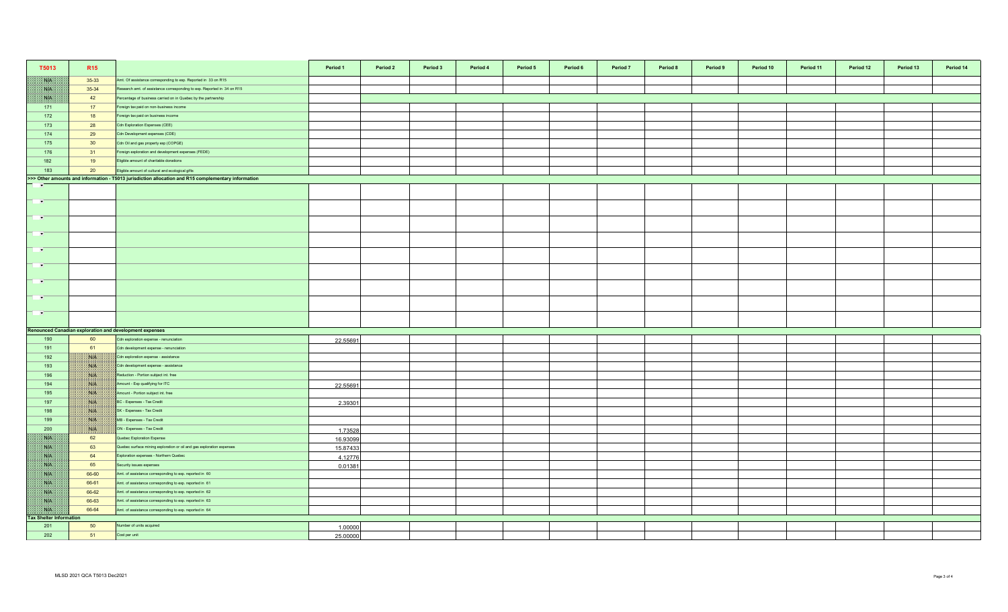| T5013                                | R <sub>15</sub> |                                                                                                                    | Period 1 | Period 2 | Period 3 | Period 4 | Period 5 | Period 6 | Period 7 | Period 8 | Period 9 | Period 10 | Period 11 | Period 12 | Period 13 | Period 14 |
|--------------------------------------|-----------------|--------------------------------------------------------------------------------------------------------------------|----------|----------|----------|----------|----------|----------|----------|----------|----------|-----------|-----------|-----------|-----------|-----------|
| <b>SOF</b>                           | $35-33$         | Amt. Of assistance corresponding to exp. Reported in 33 on R15                                                     |          |          |          |          |          |          |          |          |          |           |           |           |           |           |
| W                                    | 35-34           | Research amt. of assistance corresponding to exp. Reported in 34 on R15                                            |          |          |          |          |          |          |          |          |          |           |           |           |           |           |
| RN BI                                | 42              | Percentage of business carried on in Quebec by the partnership                                                     |          |          |          |          |          |          |          |          |          |           |           |           |           |           |
| 171                                  | 17              | Foreign tax paid on non-business income                                                                            |          |          |          |          |          |          |          |          |          |           |           |           |           |           |
| 172                                  | 18              | Foreign tax paid on business income                                                                                |          |          |          |          |          |          |          |          |          |           |           |           |           |           |
| 173                                  | 28              | Cdn Exploration Expenses (CEE)                                                                                     |          |          |          |          |          |          |          |          |          |           |           |           |           |           |
| 174                                  | 29              | Cdn Development expenses (CDE)                                                                                     |          |          |          |          |          |          |          |          |          |           |           |           |           |           |
| 175                                  | 30 <sup>°</sup> | Cdn Oil and gas property exp (COPGE)                                                                               |          |          |          |          |          |          |          |          |          |           |           |           |           |           |
| 176                                  | 31              | Foreign exploration and development expenses (FEDE)                                                                |          |          |          |          |          |          |          |          |          |           |           |           |           |           |
| 182                                  | 19              | Eligible amount of charitable donations                                                                            |          |          |          |          |          |          |          |          |          |           |           |           |           |           |
| 183                                  | 20              | Eligible amount of cultural and ecological gifts                                                                   |          |          |          |          |          |          |          |          |          |           |           |           |           |           |
|                                      |                 | >>> Other amounts and information - T5013 jurisdiction allocation and R15 complementary information                |          |          |          |          |          |          |          |          |          |           |           |           |           |           |
| $\overline{\phantom{a}}$             |                 |                                                                                                                    |          |          |          |          |          |          |          |          |          |           |           |           |           |           |
|                                      |                 |                                                                                                                    |          |          |          |          |          |          |          |          |          |           |           |           |           |           |
| $\overline{\phantom{a}}$             |                 |                                                                                                                    |          |          |          |          |          |          |          |          |          |           |           |           |           |           |
| $\rightarrow$                        |                 |                                                                                                                    |          |          |          |          |          |          |          |          |          |           |           |           |           |           |
|                                      |                 |                                                                                                                    |          |          |          |          |          |          |          |          |          |           |           |           |           |           |
| <b>TEMP</b>                          |                 |                                                                                                                    |          |          |          |          |          |          |          |          |          |           |           |           |           |           |
|                                      |                 |                                                                                                                    |          |          |          |          |          |          |          |          |          |           |           |           |           |           |
| $\mathbf{r}$                         |                 |                                                                                                                    |          |          |          |          |          |          |          |          |          |           |           |           |           |           |
|                                      |                 |                                                                                                                    |          |          |          |          |          |          |          |          |          |           |           |           |           |           |
| <b>P</b>                             |                 |                                                                                                                    |          |          |          |          |          |          |          |          |          |           |           |           |           |           |
| <b>PART</b>                          |                 |                                                                                                                    |          |          |          |          |          |          |          |          |          |           |           |           |           |           |
|                                      |                 |                                                                                                                    |          |          |          |          |          |          |          |          |          |           |           |           |           |           |
| $\sim$                               |                 |                                                                                                                    |          |          |          |          |          |          |          |          |          |           |           |           |           |           |
|                                      |                 |                                                                                                                    |          |          |          |          |          |          |          |          |          |           |           |           |           |           |
| <b>PART</b>                          |                 |                                                                                                                    |          |          |          |          |          |          |          |          |          |           |           |           |           |           |
|                                      |                 |                                                                                                                    |          |          |          |          |          |          |          |          |          |           |           |           |           |           |
|                                      |                 | <b>Renounced Canadian exploration and development expenses</b>                                                     |          |          |          |          |          |          |          |          |          |           |           |           |           |           |
| 190                                  | 60              | Cdn exploration expense - renunciation                                                                             | 22.55691 |          |          |          |          |          |          |          |          |           |           |           |           |           |
| 191                                  | 61              | Cdn development expense - renunciation                                                                             |          |          |          |          |          |          |          |          |          |           |           |           |           |           |
| 192                                  | <b>BULLE</b>    | Cdn exploration expense - assistance                                                                               |          |          |          |          |          |          |          |          |          |           |           |           |           |           |
| 193                                  | NG              | Cdn development expense - assistance                                                                               |          |          |          |          |          |          |          |          |          |           |           |           |           |           |
| 196                                  | <b>NIK</b>      | Reduction - Portion subject int. free                                                                              |          |          |          |          |          |          |          |          |          |           |           |           |           |           |
| 194                                  | <b>MALES</b>    | Amount - Exp qualifying for ITC                                                                                    | 22.55691 |          |          |          |          |          |          |          |          |           |           |           |           |           |
| 195                                  | WIN             | Amount - Portion subject int. free                                                                                 |          |          |          |          |          |          |          |          |          |           |           |           |           |           |
| 197                                  | NIA<br>NA       | BC - Expenses - Tax Credit                                                                                         | 2.39301  |          |          |          |          |          |          |          |          |           |           |           |           |           |
| 198<br>199                           |                 | SK - Expenses - Tax Credit<br>MB - Expenses - Tax Credit                                                           |          |          |          |          |          |          |          |          |          |           |           |           |           |           |
|                                      | <b>NEW</b>      |                                                                                                                    |          |          |          |          |          |          |          |          |          |           |           |           |           |           |
| 200<br>WE                            | ma<br>62        | ON - Expenses - Tax Credit<br>Quebec Exploration Expense                                                           | 1.73528  |          |          |          |          |          |          |          |          |           |           |           |           |           |
|                                      |                 |                                                                                                                    | 16.93099 |          |          |          |          |          |          |          |          |           |           |           |           |           |
| <b>SOF</b>                           | 63<br>64        | Quebec surface mining exploration or oil and gas exploration expenses                                              | 15.87433 |          |          |          |          |          |          |          |          |           |           |           |           |           |
| <b>SATIS</b>                         |                 | Exploration expenses - Northern Quebec                                                                             | 4.12776  |          |          |          |          |          |          |          |          |           |           |           |           |           |
| NB                                   | 65              | Security issues expenses                                                                                           | 0.01381  |          |          |          |          |          |          |          |          |           |           |           |           |           |
| NK<br><b>ANTES</b>                   | 66-60<br>66-61  | Amt. of assistance corresponding to exp. reported in 60<br>Amt. of assistance corresponding to exp. reported in 61 |          |          |          |          |          |          |          |          |          |           |           |           |           |           |
|                                      |                 |                                                                                                                    |          |          |          |          |          |          |          |          |          |           |           |           |           |           |
| NK                                   | 66-62           | Amt. of assistance corresponding to exp. reported in 62                                                            |          |          |          |          |          |          |          |          |          |           |           |           |           |           |
| NB                                   | 66-63<br>66-64  | Amt. of assistance corresponding to exp. reported in 63                                                            |          |          |          |          |          |          |          |          |          |           |           |           |           |           |
| WE<br><b>Tax Shelter Information</b> |                 | Amt. of assistance corresponding to exp. reported in 64                                                            |          |          |          |          |          |          |          |          |          |           |           |           |           |           |
| 201                                  | 50              | Number of units acquired                                                                                           | 1.00000  |          |          |          |          |          |          |          |          |           |           |           |           |           |
| 202                                  | 51              | Cost per unit                                                                                                      | 25.00000 |          |          |          |          |          |          |          |          |           |           |           |           |           |
|                                      |                 |                                                                                                                    |          |          |          |          |          |          |          |          |          |           |           |           |           |           |